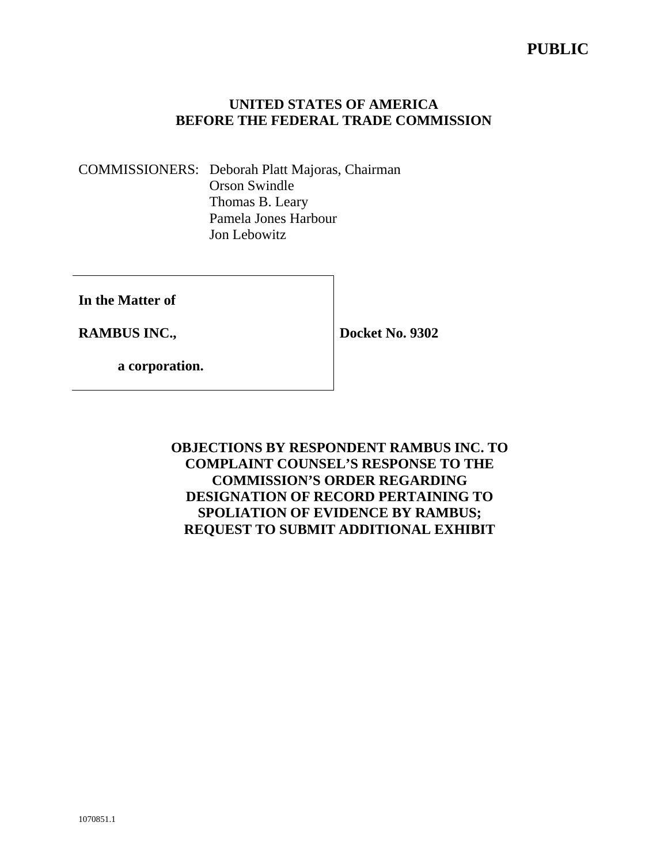# **PUBLIC**

## **UNITED STATES OF AMERICA BEFORE THE FEDERAL TRADE COMMISSION**

COMMISSIONERS: Deborah Platt Majoras, Chairman Orson Swindle Thomas B. Leary Pamela Jones Harbour Jon Lebowitz

**In the Matter of** 

**RAMBUS INC.,** 

**Docket No. 9302** 

 **a corporation.** 

**OBJECTIONS BY RESPONDENT RAMBUS INC. TO COMPLAINT COUNSEL'S RESPONSE TO THE COMMISSION'S ORDER REGARDING DESIGNATION OF RECORD PERTAINING TO SPOLIATION OF EVIDENCE BY RAMBUS; REQUEST TO SUBMIT ADDITIONAL EXHIBIT**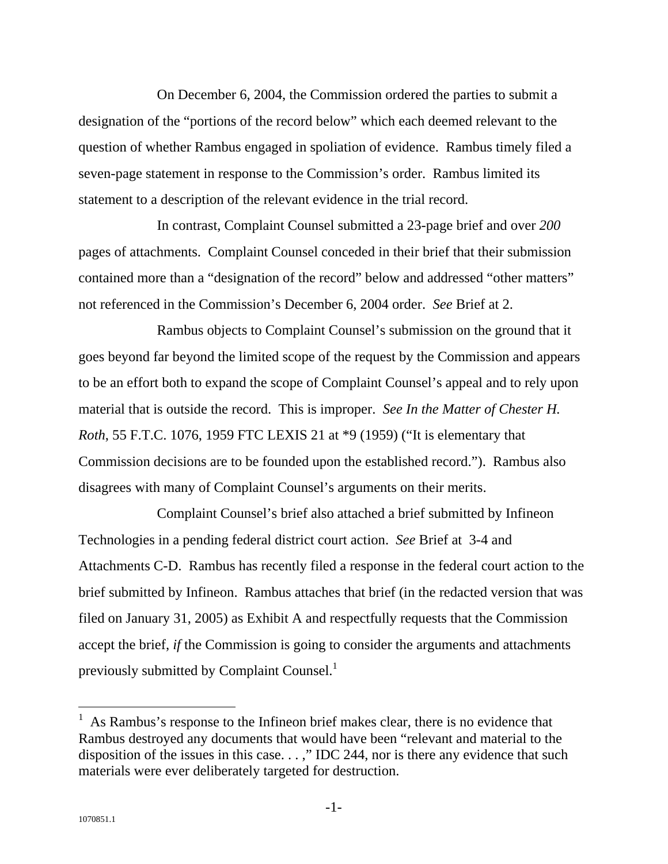On December 6, 2004, the Commission ordered the parties to submit a designation of the "portions of the record below" which each deemed relevant to the question of whether Rambus engaged in spoliation of evidence. Rambus timely filed a seven-page statement in response to the Commission's order. Rambus limited its statement to a description of the relevant evidence in the trial record.

In contrast, Complaint Counsel submitted a 23-page brief and over *200* pages of attachments. Complaint Counsel conceded in their brief that their submission contained more than a "designation of the record" below and addressed "other matters" not referenced in the Commission's December 6, 2004 order. *See* Brief at 2.

Rambus objects to Complaint Counsel's submission on the ground that it goes beyond far beyond the limited scope of the request by the Commission and appears to be an effort both to expand the scope of Complaint Counsel's appeal and to rely upon material that is outside the record. This is improper. *See In the Matter of Chester H. Roth*, 55 F.T.C. 1076, 1959 FTC LEXIS 21 at \*9 (1959) ("It is elementary that Commission decisions are to be founded upon the established record."). Rambus also disagrees with many of Complaint Counsel's arguments on their merits.

Complaint Counsel's brief also attached a brief submitted by Infineon Technologies in a pending federal district court action. *See* Brief at 3-4 and Attachments C-D. Rambus has recently filed a response in the federal court action to the brief submitted by Infineon. Rambus attaches that brief (in the redacted version that was filed on January 31, 2005) as Exhibit A and respectfully requests that the Commission accept the brief, *if* the Commission is going to consider the arguments and attachments previously submitted by Complaint Counsel.<sup>1</sup>

 $\overline{a}$ 

<sup>1</sup> As Rambus's response to the Infineon brief makes clear, there is no evidence that Rambus destroyed any documents that would have been "relevant and material to the disposition of the issues in this case. . . ," IDC 244, nor is there any evidence that such materials were ever deliberately targeted for destruction.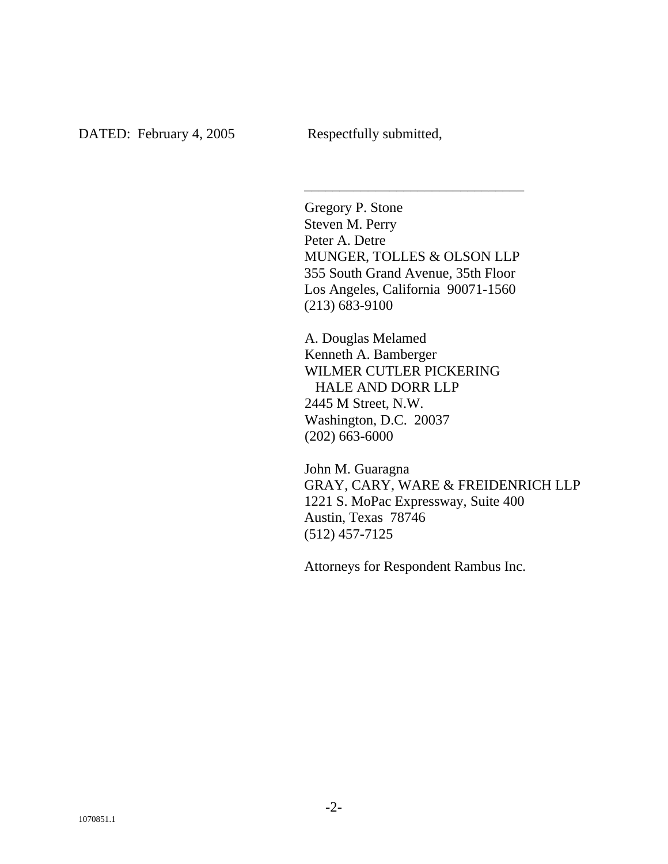Gregory P. Stone Steven M. Perry Peter A. Detre MUNGER, TOLLES & OLSON LLP 355 South Grand Avenue, 35th Floor Los Angeles, California 90071-1560 (213) 683-9100

\_\_\_\_\_\_\_\_\_\_\_\_\_\_\_\_\_\_\_\_\_\_\_\_\_\_\_\_\_\_\_

A. Douglas Melamed Kenneth A. Bamberger WILMER CUTLER PICKERING HALE AND DORR LLP 2445 M Street, N.W. Washington, D.C. 20037 (202) 663-6000

John M. Guaragna GRAY, CARY, WARE & FREIDENRICH LLP 1221 S. MoPac Expressway, Suite 400 Austin, Texas 78746 (512) 457-7125

Attorneys for Respondent Rambus Inc.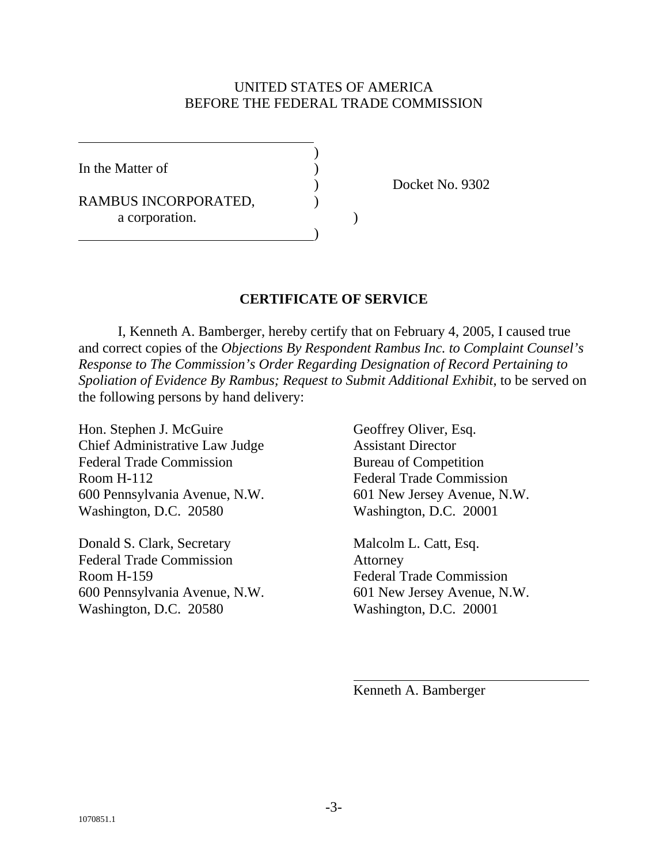#### UNITED STATES OF AMERICA BEFORE THE FEDERAL TRADE COMMISSION

In the Matter of

 $\overline{a}$ 

RAMBUS INCORPORATED, a corporation.

 $\overline{\phantom{a}}$ 

)

) Docket No. 9302

#### **CERTIFICATE OF SERVICE**

 I, Kenneth A. Bamberger, hereby certify that on February 4, 2005, I caused true and correct copies of the *Objections By Respondent Rambus Inc. to Complaint Counsel's Response to The Commission's Order Regarding Designation of Record Pertaining to Spoliation of Evidence By Rambus; Request to Submit Additional Exhibit*, to be served on the following persons by hand delivery:

Hon. Stephen J. McGuire Geoffrey Oliver, Esq. Chief Administrative Law Judge Assistant Director Federal Trade Commission Bureau of Competition Room H-112 Federal Trade Commission 600 Pennsylvania Avenue, N.W. 601 New Jersey Avenue, N.W. Washington, D.C. 20580 Washington, D.C. 20001

Donald S. Clark, Secretary Malcolm L. Catt, Esq. Federal Trade Commission Attorney Room H-159 Federal Trade Commission 600 Pennsylvania Avenue, N.W. 601 New Jersey Avenue, N.W. Washington, D.C. 20580 Washington, D.C. 20001

Kenneth A. Bamberger